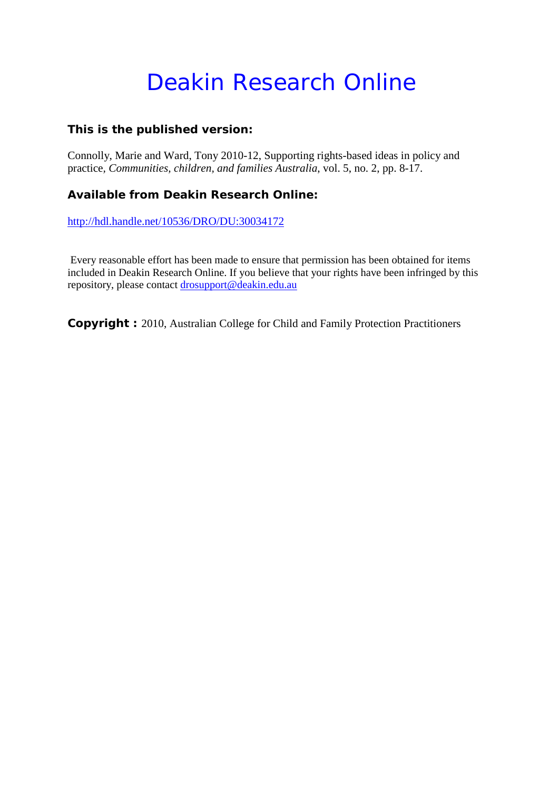## Deakin Research Online

#### **This is the published version:**

Connolly, Marie and Ward, Tony 2010-12, Supporting rights-based ideas in policy and practice*, Communities, children, and families Australia*, vol. 5, no. 2, pp. 8-17.

#### **Available from Deakin Research Online:**

<http://hdl.handle.net/10536/DRO/DU:30034172>

Every reasonable effort has been made to ensure that permission has been obtained for items included in Deakin Research Online. If you believe that your rights have been infringed by this repository, please contact [drosupport@deakin.edu.au](mailto:drosupport@deakin.edu.au)

**Copyright :** 2010, Australian College for Child and Family Protection Practitioners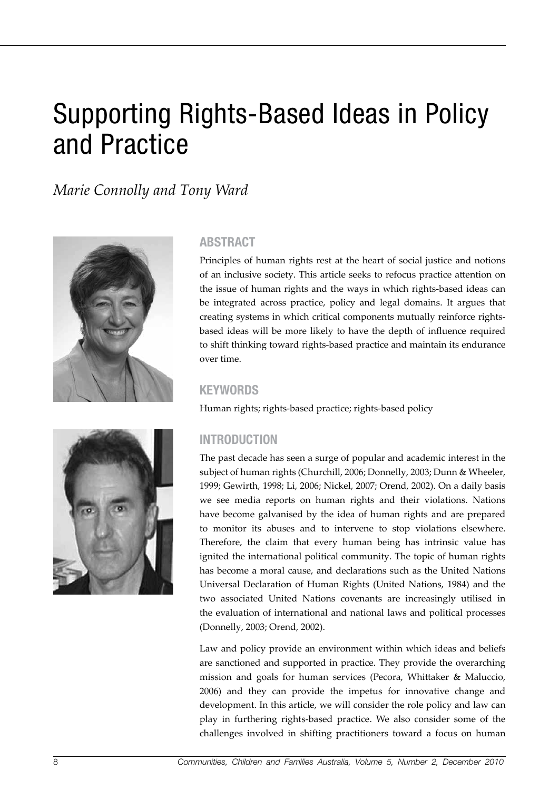# Supporting Rights-Based Ideas in Policy and Practice

*Marie Connolly and Tony Ward*



#### **Abstract**

Principles of human rights rest at the heart of social justice and notions of an inclusive society. This article seeks to refocus practice attention on the issue of human rights and the ways in which rights-based ideas can be integrated across practice, policy and legal domains. It argues that creating systems in which critical components mutually reinforce rightsbased ideas will be more likely to have the depth of influence required to shift thinking toward rights-based practice and maintain its endurance over time.

#### **KEYWORDS**

Human rights; rights-based practice; rights-based policy

#### **Introduction**

The past decade has seen a surge of popular and academic interest in the subject of human rights (Churchill, 2006; Donnelly, 2003; Dunn & Wheeler, 1999; Gewirth, 1998; Li, 2006; Nickel, 2007; Orend, 2002). On a daily basis we see media reports on human rights and their violations. Nations have become galvanised by the idea of human rights and are prepared to monitor its abuses and to intervene to stop violations elsewhere. Therefore, the claim that every human being has intrinsic value has ignited the international political community. The topic of human rights has become a moral cause, and declarations such as the United Nations Universal Declaration of Human Rights (United Nations, 1984) and the two associated United Nations covenants are increasingly utilised in the evaluation of international and national laws and political processes (Donnelly, 2003; Orend, 2002).

Law and policy provide an environment within which ideas and beliefs are sanctioned and supported in practice. They provide the overarching mission and goals for human services (Pecora, Whittaker & Maluccio, 2006) and they can provide the impetus for innovative change and development. In this article, we will consider the role policy and law can play in furthering rights-based practice. We also consider some of the challenges involved in shifting practitioners toward a focus on human

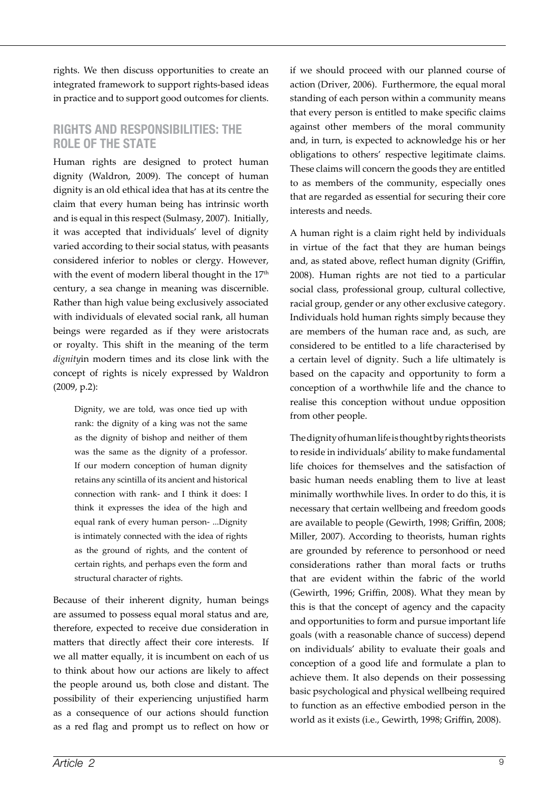rights. We then discuss opportunities to create an integrated framework to support rights-based ideas in practice and to support good outcomes for clients.

#### **Rights and Responsibilities: The Role of the State**

Human rights are designed to protect human dignity (Waldron, 2009). The concept of human dignity is an old ethical idea that has at its centre the claim that every human being has intrinsic worth and is equal in this respect (Sulmasy, 2007). Initially, it was accepted that individuals' level of dignity varied according to their social status, with peasants considered inferior to nobles or clergy. However, with the event of modern liberal thought in the 17<sup>th</sup> century, a sea change in meaning was discernible. Rather than high value being exclusively associated with individuals of elevated social rank, all human beings were regarded as if they were aristocrats or royalty. This shift in the meaning of the term *dignity*in modern times and its close link with the concept of rights is nicely expressed by Waldron (2009, p.2):

Dignity, we are told, was once tied up with rank: the dignity of a king was not the same as the dignity of bishop and neither of them was the same as the dignity of a professor. If our modern conception of human dignity retains any scintilla of its ancient and historical connection with rank- and I think it does: I think it expresses the idea of the high and equal rank of every human person- ...Dignity is intimately connected with the idea of rights as the ground of rights, and the content of certain rights, and perhaps even the form and structural character of rights.

Because of their inherent dignity, human beings are assumed to possess equal moral status and are, therefore, expected to receive due consideration in matters that directly affect their core interests. If we all matter equally, it is incumbent on each of us to think about how our actions are likely to affect the people around us, both close and distant. The possibility of their experiencing unjustified harm as a consequence of our actions should function as a red flag and prompt us to reflect on how or if we should proceed with our planned course of action (Driver, 2006). Furthermore, the equal moral standing of each person within a community means that every person is entitled to make specific claims against other members of the moral community and, in turn, is expected to acknowledge his or her obligations to others' respective legitimate claims. These claims will concern the goods they are entitled to as members of the community, especially ones that are regarded as essential for securing their core interests and needs.

A human right is a claim right held by individuals in virtue of the fact that they are human beings and, as stated above, reflect human dignity (Griffin, 2008). Human rights are not tied to a particular social class, professional group, cultural collective, racial group, gender or any other exclusive category. Individuals hold human rights simply because they are members of the human race and, as such, are considered to be entitled to a life characterised by a certain level of dignity. Such a life ultimately is based on the capacity and opportunity to form a conception of a worthwhile life and the chance to realise this conception without undue opposition from other people.

The dignity of human life is thought by rights theorists to reside in individuals' ability to make fundamental life choices for themselves and the satisfaction of basic human needs enabling them to live at least minimally worthwhile lives. In order to do this, it is necessary that certain wellbeing and freedom goods are available to people (Gewirth, 1998; Griffin, 2008; Miller, 2007). According to theorists, human rights are grounded by reference to personhood or need considerations rather than moral facts or truths that are evident within the fabric of the world (Gewirth, 1996; Griffin, 2008). What they mean by this is that the concept of agency and the capacity and opportunities to form and pursue important life goals (with a reasonable chance of success) depend on individuals' ability to evaluate their goals and conception of a good life and formulate a plan to achieve them. It also depends on their possessing basic psychological and physical wellbeing required to function as an effective embodied person in the world as it exists (i.e., Gewirth, 1998; Griffin, 2008).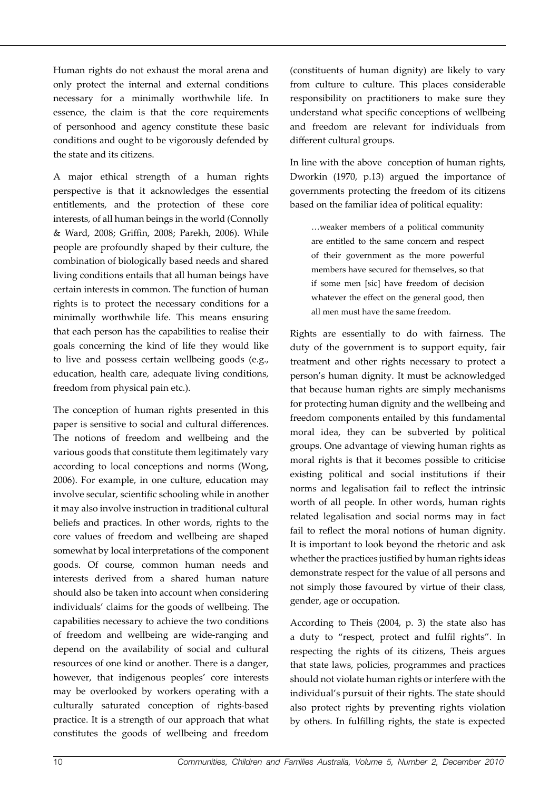Human rights do not exhaust the moral arena and only protect the internal and external conditions necessary for a minimally worthwhile life. In essence, the claim is that the core requirements of personhood and agency constitute these basic conditions and ought to be vigorously defended by the state and its citizens.

A major ethical strength of a human rights perspective is that it acknowledges the essential entitlements, and the protection of these core interests, of all human beings in the world (Connolly & Ward, 2008; Griffin, 2008; Parekh, 2006). While people are profoundly shaped by their culture, the combination of biologically based needs and shared living conditions entails that all human beings have certain interests in common. The function of human rights is to protect the necessary conditions for a minimally worthwhile life. This means ensuring that each person has the capabilities to realise their goals concerning the kind of life they would like to live and possess certain wellbeing goods (e.g., education, health care, adequate living conditions, freedom from physical pain etc.).

The conception of human rights presented in this paper is sensitive to social and cultural differences. The notions of freedom and wellbeing and the various goods that constitute them legitimately vary according to local conceptions and norms (Wong, 2006). For example, in one culture, education may involve secular, scientific schooling while in another it may also involve instruction in traditional cultural beliefs and practices. In other words, rights to the core values of freedom and wellbeing are shaped somewhat by local interpretations of the component goods. Of course, common human needs and interests derived from a shared human nature should also be taken into account when considering individuals' claims for the goods of wellbeing. The capabilities necessary to achieve the two conditions of freedom and wellbeing are wide-ranging and depend on the availability of social and cultural resources of one kind or another. There is a danger, however, that indigenous peoples' core interests may be overlooked by workers operating with a culturally saturated conception of rights-based practice. It is a strength of our approach that what constitutes the goods of wellbeing and freedom

(constituents of human dignity) are likely to vary from culture to culture. This places considerable responsibility on practitioners to make sure they understand what specific conceptions of wellbeing and freedom are relevant for individuals from different cultural groups.

In line with the above conception of human rights, Dworkin (1970, p.13) argued the importance of governments protecting the freedom of its citizens based on the familiar idea of political equality:

…weaker members of a political community are entitled to the same concern and respect of their government as the more powerful members have secured for themselves, so that if some men [sic] have freedom of decision whatever the effect on the general good, then all men must have the same freedom.

Rights are essentially to do with fairness. The duty of the government is to support equity, fair treatment and other rights necessary to protect a person's human dignity. It must be acknowledged that because human rights are simply mechanisms for protecting human dignity and the wellbeing and freedom components entailed by this fundamental moral idea, they can be subverted by political groups. One advantage of viewing human rights as moral rights is that it becomes possible to criticise existing political and social institutions if their norms and legalisation fail to reflect the intrinsic worth of all people. In other words, human rights related legalisation and social norms may in fact fail to reflect the moral notions of human dignity. It is important to look beyond the rhetoric and ask whether the practices justified by human rights ideas demonstrate respect for the value of all persons and not simply those favoured by virtue of their class, gender, age or occupation.

According to Theis (2004, p. 3) the state also has a duty to "respect, protect and fulfil rights". In respecting the rights of its citizens, Theis argues that state laws, policies, programmes and practices should not violate human rights or interfere with the individual's pursuit of their rights. The state should also protect rights by preventing rights violation by others. In fulfilling rights, the state is expected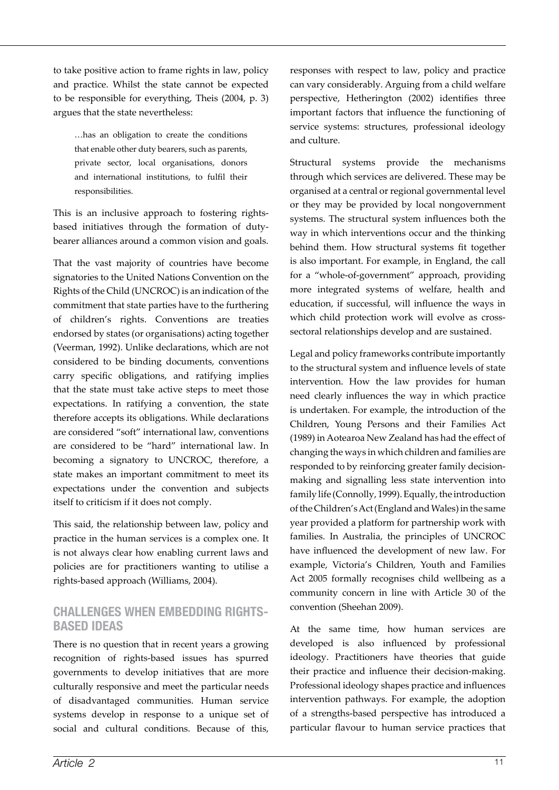to take positive action to frame rights in law, policy and practice. Whilst the state cannot be expected to be responsible for everything, Theis (2004, p. 3) argues that the state nevertheless:

…has an obligation to create the conditions that enable other duty bearers, such as parents, private sector, local organisations, donors and international institutions, to fulfil their responsibilities.

This is an inclusive approach to fostering rightsbased initiatives through the formation of dutybearer alliances around a common vision and goals.

That the vast majority of countries have become signatories to the United Nations Convention on the Rights of the Child (UNCROC) is an indication of the commitment that state parties have to the furthering of children's rights. Conventions are treaties endorsed by states (or organisations) acting together (Veerman, 1992). Unlike declarations, which are not considered to be binding documents, conventions carry specific obligations, and ratifying implies that the state must take active steps to meet those expectations. In ratifying a convention, the state therefore accepts its obligations. While declarations are considered "soft" international law, conventions are considered to be "hard" international law. In becoming a signatory to UNCROC, therefore, a state makes an important commitment to meet its expectations under the convention and subjects itself to criticism if it does not comply.

This said, the relationship between law, policy and practice in the human services is a complex one. It is not always clear how enabling current laws and policies are for practitioners wanting to utilise a rights-based approach (Williams, 2004).

#### **Challenges When Embedding Rights-Based Ideas**

There is no question that in recent years a growing recognition of rights-based issues has spurred governments to develop initiatives that are more culturally responsive and meet the particular needs of disadvantaged communities. Human service systems develop in response to a unique set of social and cultural conditions. Because of this,

responses with respect to law, policy and practice can vary considerably. Arguing from a child welfare perspective, Hetherington (2002) identifies three important factors that influence the functioning of service systems: structures, professional ideology and culture.

Structural systems provide the mechanisms through which services are delivered. These may be organised at a central or regional governmental level or they may be provided by local nongovernment systems. The structural system influences both the way in which interventions occur and the thinking behind them. How structural systems fit together is also important. For example, in England, the call for a "whole-of-government" approach, providing more integrated systems of welfare, health and education, if successful, will influence the ways in which child protection work will evolve as crosssectoral relationships develop and are sustained.

Legal and policy frameworks contribute importantly to the structural system and influence levels of state intervention. How the law provides for human need clearly influences the way in which practice is undertaken. For example, the introduction of the Children, Young Persons and their Families Act (1989) in Aotearoa New Zealand has had the effect of changing the ways in which children and families are responded to by reinforcing greater family decisionmaking and signalling less state intervention into family life (Connolly, 1999). Equally, the introduction of the Children's Act (England and Wales) in the same year provided a platform for partnership work with families. In Australia, the principles of UNCROC have influenced the development of new law. For example, Victoria's Children, Youth and Families Act 2005 formally recognises child wellbeing as a community concern in line with Article 30 of the convention (Sheehan 2009).

At the same time, how human services are developed is also influenced by professional ideology. Practitioners have theories that guide their practice and influence their decision-making. Professional ideology shapes practice and influences intervention pathways. For example, the adoption of a strengths-based perspective has introduced a particular flavour to human service practices that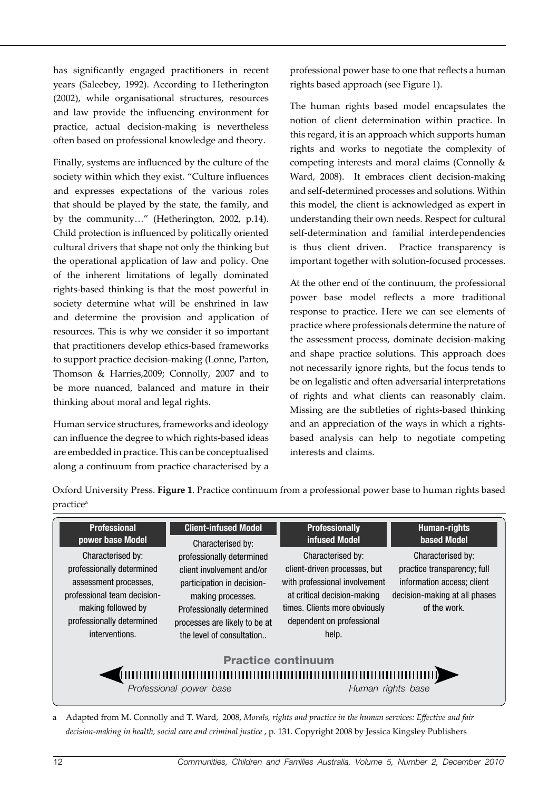has significantly engaged practitioners in recent years (Saleebey, 1992). According to Hetherington (2002), while organisational structures, resources and law provide the influencing environment for practice, actual decision-making is nevertheless often based on professional knowledge and theory.

Finally, systems are influenced by the culture of the society within which they exist. "Culture influences and expresses expectations of the various roles that should be played by the state, the family, and by the community…" (Hetherington, 2002, p.14). Child protection is influenced by politically oriented cultural drivers that shape not only the thinking but the operational application of law and policy. One of the inherent limitations of legally dominated rights-based thinking is that the most powerful in society determine what will be enshrined in law and determine the provision and application of resources. This is why we consider it so important that practitioners develop ethics-based frameworks to support practice decision-making (Lonne, Parton, Thomson & Harries,2009; Connolly, 2007 and to be more nuanced, balanced and mature in their thinking about moral and legal rights.

Human service structures, frameworks and ideology can influence the degree to which rights-based ideas are embedded in practice. This can be conceptualised along a continuum from practice characterised by a professional power base to one that reflects a human rights based approach (see Figure 1).

The human rights based model encapsulates the notion of client determination within practice. In this regard, it is an approach which supports human rights and works to negotiate the complexity of competing interests and moral claims (Connolly & Ward, 2008). It embraces client decision-making and self-determined processes and solutions. Within this model, the client is acknowledged as expert in understanding their own needs. Respect for cultural self-determination and familial interdependencies is thus client driven. Practice transparency is important together with solution-focused processes.

At the other end of the continuum, the professional power base model reflects a more traditional response to practice. Here we can see elements of practice where professionals determine the nature of the assessment process, dominate decision-making and shape practice solutions. This approach does not necessarily ignore rights, but the focus tends to be on legalistic and often adversarial interpretations of rights and what clients can reasonably claim. Missing are the subtleties of rights-based thinking and an appreciation of the ways in which a rightsbased analysis can help to negotiate competing interests and claims.

Oxford University Press. **Figure 1**. Practice continuum from a professional power base to human rights based practice<sup>a</sup>

| <b>Professional</b>                                                                                                                                                                             | <b>Client-infused Model</b>                                                                                                                                                                                               | <b>Professionally</b>                                                                                                                                                                                     | <b>Human-rights</b>                                                                                                                                   |  |  |  |  |
|-------------------------------------------------------------------------------------------------------------------------------------------------------------------------------------------------|---------------------------------------------------------------------------------------------------------------------------------------------------------------------------------------------------------------------------|-----------------------------------------------------------------------------------------------------------------------------------------------------------------------------------------------------------|-------------------------------------------------------------------------------------------------------------------------------------------------------|--|--|--|--|
| power base Model<br>Characterised by:<br>professionally determined<br>assessment processes,<br>professional team decision-<br>making followed by<br>professionally determined<br>interventions. | Characterised by:<br>professionally determined<br>client involvement and/or<br>participation in decision-<br>making processes.<br>Professionally determined<br>processes are likely to be at<br>the level of consultation | infused Model<br>Characterised by:<br>client-driven processes, but<br>with professional involvement<br>at critical decision-making<br>times. Clients more obviously<br>dependent on professional<br>help. | <b>based Model</b><br>Characterised by:<br>practice transparency; full<br>information access; client<br>decision-making at all phases<br>of the work. |  |  |  |  |
| <b>Practice continuum</b><br>Professional power base<br>Human rights base                                                                                                                       |                                                                                                                                                                                                                           |                                                                                                                                                                                                           |                                                                                                                                                       |  |  |  |  |

a Adapted from M. Connolly and T. Ward, 2008, *Morals, rights and practice in the human services: Effective and fair decision-making in health, social care and criminal justice* , p. 131. Copyright 2008 by Jessica Kingsley Publishers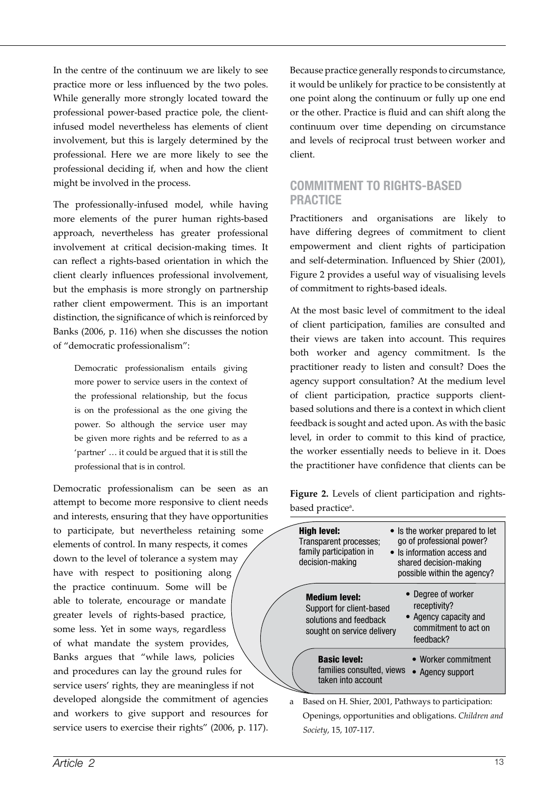In the centre of the continuum we are likely to see practice more or less influenced by the two poles. While generally more strongly located toward the professional power-based practice pole, the clientinfused model nevertheless has elements of client involvement, but this is largely determined by the professional. Here we are more likely to see the professional deciding if, when and how the client might be involved in the process.

The professionally-infused model, while having more elements of the purer human rights-based approach, nevertheless has greater professional involvement at critical decision-making times. It can reflect a rights-based orientation in which the client clearly influences professional involvement, but the emphasis is more strongly on partnership rather client empowerment. This is an important distinction, the significance of which is reinforced by Banks (2006, p. 116) when she discusses the notion of "democratic professionalism":

Democratic professionalism entails giving more power to service users in the context of the professional relationship, but the focus is on the professional as the one giving the power. So although the service user may be given more rights and be referred to as a 'partner' … it could be argued that it is still the professional that is in control.

Democratic professionalism can be seen as an attempt to become more responsive to client needs and interests, ensuring that they have opportunities to participate, but nevertheless retaining some elements of control. In many respects, it comes down to the level of tolerance a system may have with respect to positioning along the practice continuum. Some will be able to tolerate, encourage or mandate greater levels of rights-based practice, some less. Yet in some ways, regardless of what mandate the system provides, Banks argues that "while laws, policies and procedures can lay the ground rules for service users' rights, they are meaningless if not developed alongside the commitment of agencies and workers to give support and resources for service users to exercise their rights" (2006, p. 117).

Because practice generally responds to circumstance, it would be unlikely for practice to be consistently at one point along the continuum or fully up one end or the other. Practice is fluid and can shift along the continuum over time depending on circumstance and levels of reciprocal trust between worker and client.

### **Commitment to Rights-Based Practice**

Practitioners and organisations are likely to have differing degrees of commitment to client empowerment and client rights of participation and self-determination. Influenced by Shier (2001), Figure 2 provides a useful way of visualising levels of commitment to rights-based ideals.

At the most basic level of commitment to the ideal of client participation, families are consulted and their views are taken into account. This requires both worker and agency commitment. Is the practitioner ready to listen and consult? Does the agency support consultation? At the medium level of client participation, practice supports clientbased solutions and there is a context in which client feedback is sought and acted upon. As with the basic level, in order to commit to this kind of practice, the worker essentially needs to believe in it. Does the practitioner have confidence that clients can be

**Figure 2.** Levels of client participation and rightsbased practice<sup>a</sup>.

| <b>High level:</b><br>Transparent processes;<br>family participation in<br>decision-making               | • Is the worker prepared to let<br>go of professional power?<br>• Is information access and<br>shared decision-making<br>possible within the agency? |
|----------------------------------------------------------------------------------------------------------|------------------------------------------------------------------------------------------------------------------------------------------------------|
| <b>Medium level:</b><br>Support for client-based<br>solutions and feedback<br>sought on service delivery | • Degree of worker<br>receptivity?<br>• Agency capacity and<br>commitment to act on<br>feedback?                                                     |
| <b>Basic level:</b><br>families consulted, views<br>taken into account                                   | • Worker commitment<br>Agency support                                                                                                                |

a Based on H. Shier, 2001, Pathways to participation: Openings, opportunities and obligations. *Children and Society*, 15, 107-117.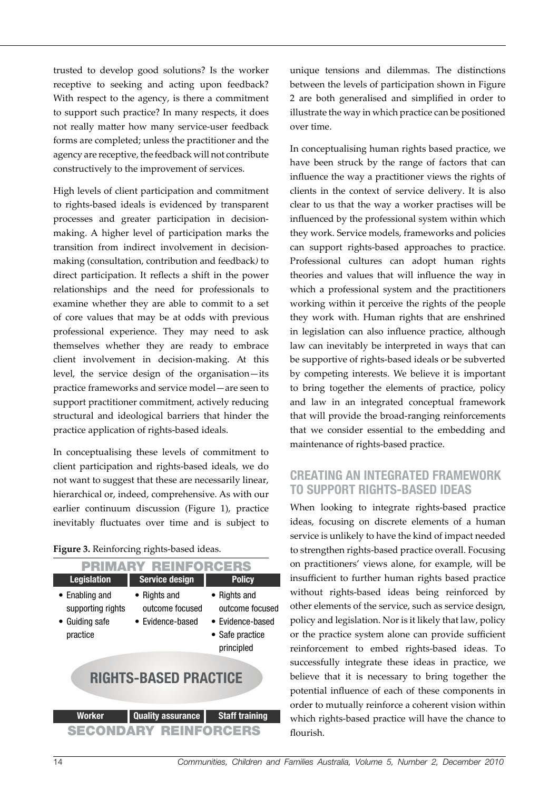trusted to develop good solutions? Is the worker receptive to seeking and acting upon feedback? With respect to the agency, is there a commitment to support such practice? In many respects, it does not really matter how many service-user feedback forms are completed; unless the practitioner and the agency are receptive, the feedback will not contribute constructively to the improvement of services.

High levels of client participation and commitment to rights-based ideals is evidenced by transparent processes and greater participation in decisionmaking. A higher level of participation marks the transition from indirect involvement in decisionmaking (consultation, contribution and feedback*)* to direct participation. It reflects a shift in the power relationships and the need for professionals to examine whether they are able to commit to a set of core values that may be at odds with previous professional experience. They may need to ask themselves whether they are ready to embrace client involvement in decision-making. At this level, the service design of the organisation—its practice frameworks and service model—are seen to support practitioner commitment, actively reducing structural and ideological barriers that hinder the practice application of rights-based ideals.

In conceptualising these levels of commitment to client participation and rights-based ideals, we do not want to suggest that these are necessarily linear, hierarchical or, indeed, comprehensive. As with our earlier continuum discussion (Figure 1), practice inevitably fluctuates over time and is subject to

| Figure 3. Reinforcing rights-based ideas. |  |  |  |
|-------------------------------------------|--|--|--|
|                                           |  |  |  |

| <b>PRIMARY REINFORCERS</b>                                                |                                                             |                                                                                              |  |  |  |  |
|---------------------------------------------------------------------------|-------------------------------------------------------------|----------------------------------------------------------------------------------------------|--|--|--|--|
| <b>Legislation</b>                                                        | <b>Service design</b>                                       | <b>Policy</b>                                                                                |  |  |  |  |
| $\bullet$ Enabling and<br>supporting rights<br>• Guiding safe<br>practice | $\bullet$ Rights and<br>outcome focused<br>• Evidence-based | $\bullet$ Rights and<br>outcome focused<br>• Evidence-based<br>• Safe practice<br>principled |  |  |  |  |
| <b>RIGHTS-BASED PRACTICE</b>                                              |                                                             |                                                                                              |  |  |  |  |
| Worker                                                                    | <b>Quality assurance</b>                                    | <b>Staff training</b>                                                                        |  |  |  |  |
| <b>SECONDARY REINFORCERS</b>                                              |                                                             |                                                                                              |  |  |  |  |

unique tensions and dilemmas. The distinctions between the levels of participation shown in Figure 2 are both generalised and simplified in order to illustrate the way in which practice can be positioned over time.

In conceptualising human rights based practice, we have been struck by the range of factors that can influence the way a practitioner views the rights of clients in the context of service delivery. It is also clear to us that the way a worker practises will be influenced by the professional system within which they work. Service models, frameworks and policies can support rights-based approaches to practice. Professional cultures can adopt human rights theories and values that will influence the way in which a professional system and the practitioners working within it perceive the rights of the people they work with. Human rights that are enshrined in legislation can also influence practice, although law can inevitably be interpreted in ways that can be supportive of rights-based ideals or be subverted by competing interests. We believe it is important to bring together the elements of practice, policy and law in an integrated conceptual framework that will provide the broad-ranging reinforcements that we consider essential to the embedding and maintenance of rights-based practice.

#### **Creating an Integrated Framework to Support Rights-Based Ideas**

When looking to integrate rights-based practice ideas, focusing on discrete elements of a human service is unlikely to have the kind of impact needed to strengthen rights-based practice overall. Focusing on practitioners' views alone, for example, will be insufficient to further human rights based practice without rights-based ideas being reinforced by other elements of the service, such as service design, policy and legislation. Nor is it likely that law, policy or the practice system alone can provide sufficient reinforcement to embed rights-based ideas. To successfully integrate these ideas in practice, we believe that it is necessary to bring together the potential influence of each of these components in order to mutually reinforce a coherent vision within which rights-based practice will have the chance to flourish.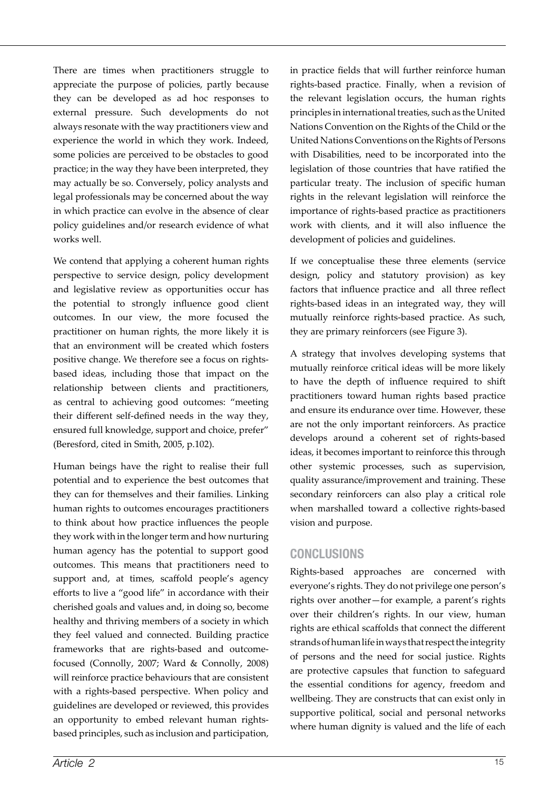There are times when practitioners struggle to appreciate the purpose of policies, partly because they can be developed as ad hoc responses to external pressure. Such developments do not always resonate with the way practitioners view and experience the world in which they work. Indeed, some policies are perceived to be obstacles to good practice; in the way they have been interpreted, they may actually be so. Conversely, policy analysts and legal professionals may be concerned about the way in which practice can evolve in the absence of clear policy guidelines and/or research evidence of what works well.

We contend that applying a coherent human rights perspective to service design, policy development and legislative review as opportunities occur has the potential to strongly influence good client outcomes. In our view, the more focused the practitioner on human rights, the more likely it is that an environment will be created which fosters positive change. We therefore see a focus on rightsbased ideas, including those that impact on the relationship between clients and practitioners, as central to achieving good outcomes: "meeting their different self-defined needs in the way they, ensured full knowledge, support and choice, prefer" (Beresford, cited in Smith, 2005, p.102).

Human beings have the right to realise their full potential and to experience the best outcomes that they can for themselves and their families. Linking human rights to outcomes encourages practitioners to think about how practice influences the people they work with in the longer term and how nurturing human agency has the potential to support good outcomes. This means that practitioners need to support and, at times, scaffold people's agency efforts to live a "good life" in accordance with their cherished goals and values and, in doing so, become healthy and thriving members of a society in which they feel valued and connected. Building practice frameworks that are rights-based and outcomefocused (Connolly, 2007; Ward & Connolly, 2008) will reinforce practice behaviours that are consistent with a rights-based perspective. When policy and guidelines are developed or reviewed, this provides an opportunity to embed relevant human rightsbased principles, such as inclusion and participation,

in practice fields that will further reinforce human rights-based practice. Finally, when a revision of the relevant legislation occurs, the human rights principles in international treaties, such as the United Nations Convention on the Rights of the Child or the United Nations Conventions on the Rights of Persons with Disabilities, need to be incorporated into the legislation of those countries that have ratified the particular treaty. The inclusion of specific human rights in the relevant legislation will reinforce the importance of rights-based practice as practitioners work with clients, and it will also influence the development of policies and guidelines.

If we conceptualise these three elements (service design, policy and statutory provision) as key factors that influence practice and all three reflect rights-based ideas in an integrated way, they will mutually reinforce rights-based practice. As such, they are primary reinforcers (see Figure 3).

A strategy that involves developing systems that mutually reinforce critical ideas will be more likely to have the depth of influence required to shift practitioners toward human rights based practice and ensure its endurance over time. However, these are not the only important reinforcers. As practice develops around a coherent set of rights-based ideas, it becomes important to reinforce this through other systemic processes, such as supervision, quality assurance/improvement and training. These secondary reinforcers can also play a critical role when marshalled toward a collective rights-based vision and purpose.

#### **Conclusions**

Rights-based approaches are concerned with everyone's rights. They do not privilege one person's rights over another—for example, a parent's rights over their children's rights. In our view, human rights are ethical scaffolds that connect the different strands of human life in ways that respect the integrity of persons and the need for social justice. Rights are protective capsules that function to safeguard the essential conditions for agency, freedom and wellbeing. They are constructs that can exist only in supportive political, social and personal networks where human dignity is valued and the life of each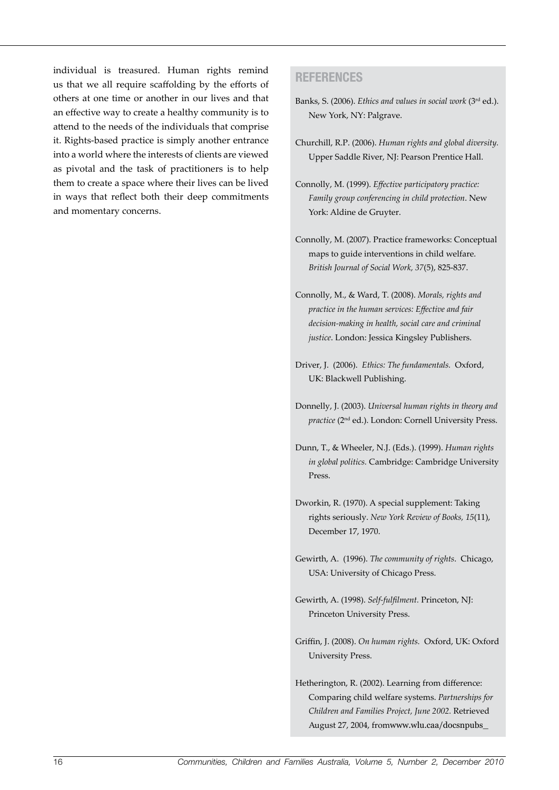individual is treasured. Human rights remind us that we all require scaffolding by the efforts of others at one time or another in our lives and that an effective way to create a healthy community is to attend to the needs of the individuals that comprise it. Rights-based practice is simply another entrance into a world where the interests of clients are viewed as pivotal and the task of practitioners is to help them to create a space where their lives can be lived in ways that reflect both their deep commitments and momentary concerns.

#### **References**

- Banks, S. (2006). *Ethics and values in social work* (3rd ed.). New York, NY: Palgrave.
- Churchill, R.P. (2006). *Human rights and global diversity.*  Upper Saddle River, NJ: Pearson Prentice Hall.
- Connolly, M. (1999). *Effective participatory practice: Family group conferencing in child protection*. New York: Aldine de Gruyter.
- Connolly, M. (2007). Practice frameworks: Conceptual maps to guide interventions in child welfare. *British Journal of Social Work, 37*(5), 825-837.
- Connolly, M., & Ward, T. (2008). *Morals, rights and practice in the human services: Effective and fair decision-making in health, social care and criminal justice*. London: Jessica Kingsley Publishers.
- Driver, J. (2006). *Ethics: The fundamentals.* Oxford, UK: Blackwell Publishing.
- Donnelly, J. (2003). *Universal human rights in theory and practice* (2nd ed.). London: Cornell University Press.
- Dunn, T., & Wheeler, N.J. (Eds.). (1999). *Human rights in global politics.* Cambridge: Cambridge University Press.
- Dworkin, R. (1970). A special supplement: Taking rights seriously. *New York Review of Books, 15*(11), December 17, 1970.
- Gewirth, A. (1996). *The community of rights*. Chicago, USA: University of Chicago Press.
- Gewirth, A. (1998). *Self-fulfilment.* Princeton, NJ: Princeton University Press.
- Griffin, J. (2008). *On human rights.* Oxford, UK: Oxford University Press.
- Hetherington, R. (2002). Learning from difference: Comparing child welfare systems. *Partnerships for Children and Families Project, June 2002.* Retrieved August 27, 2004, fromwww.wlu.caa/docsnpubs\_